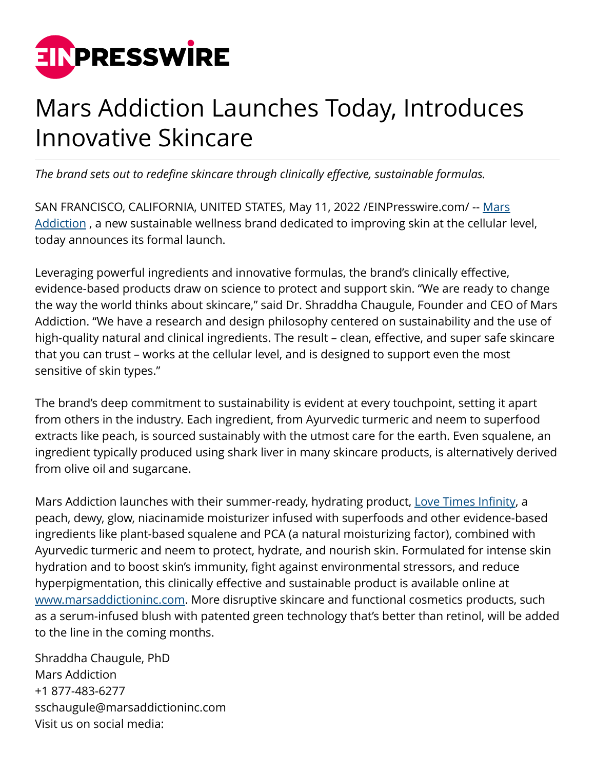

## Mars Addiction Launches Today, Introduces Innovative Skincare

*The brand sets out to redefine skincare through clinically effective, sustainable formulas.*

SAN FRANCISCO, CALIFORNIA, UNITED STATES, May 11, 2022 /[EINPresswire.com/](http://www.einpresswire.com) -- [Mars](https://marsaddictioninc.com/) Addiction, a new sustainable wellness brand dedicated to improving skin at the cellular level, today announces its formal launch.

Leveraging powerful ingredients and innovative formulas, the brand's clinically effective, evidence-based products draw on science to protect and support skin. "We are ready to change the way the world thinks about skincare," said Dr. Shraddha Chaugule, Founder and CEO of Mars Addiction. "We have a research and design philosophy centered on sustainability and the use of high-quality natural and clinical ingredients. The result – clean, effective, and super safe skincare that you can trust – works at the cellular level, and is designed to support even the most sensitive of skin types."

The brand's deep commitment to sustainability is evident at every touchpoint, setting it apart from others in the industry. Each ingredient, from Ayurvedic turmeric and neem to superfood extracts like peach, is sourced sustainably with the utmost care for the earth. Even squalene, an ingredient typically produced using shark liver in many skincare products, is alternatively derived from olive oil and sugarcane.

Mars Addiction launches with their summer-ready, hydrating product, [Love Times Infinity,](https://marsaddictioninc.com/products/love-times-infinity) a peach, dewy, glow, niacinamide moisturizer infused with superfoods and other evidence-based ingredients like plant-based squalene and PCA (a natural moisturizing factor), combined with Ayurvedic turmeric and neem to protect, hydrate, and nourish skin. Formulated for intense skin hydration and to boost skin's immunity, fight against environmental stressors, and reduce hyperpigmentation, this clinically effective and sustainable product is available online at [www.marsaddictioninc.com](https://marsaddictioninc.com/). More disruptive skincare and functional cosmetics products, such as a serum-infused blush with patented green technology that's better than retinol, will be added to the line in the coming months.

Shraddha Chaugule, PhD Mars Addiction +1 877-483-6277 sschaugule@marsaddictioninc.com Visit us on social media: